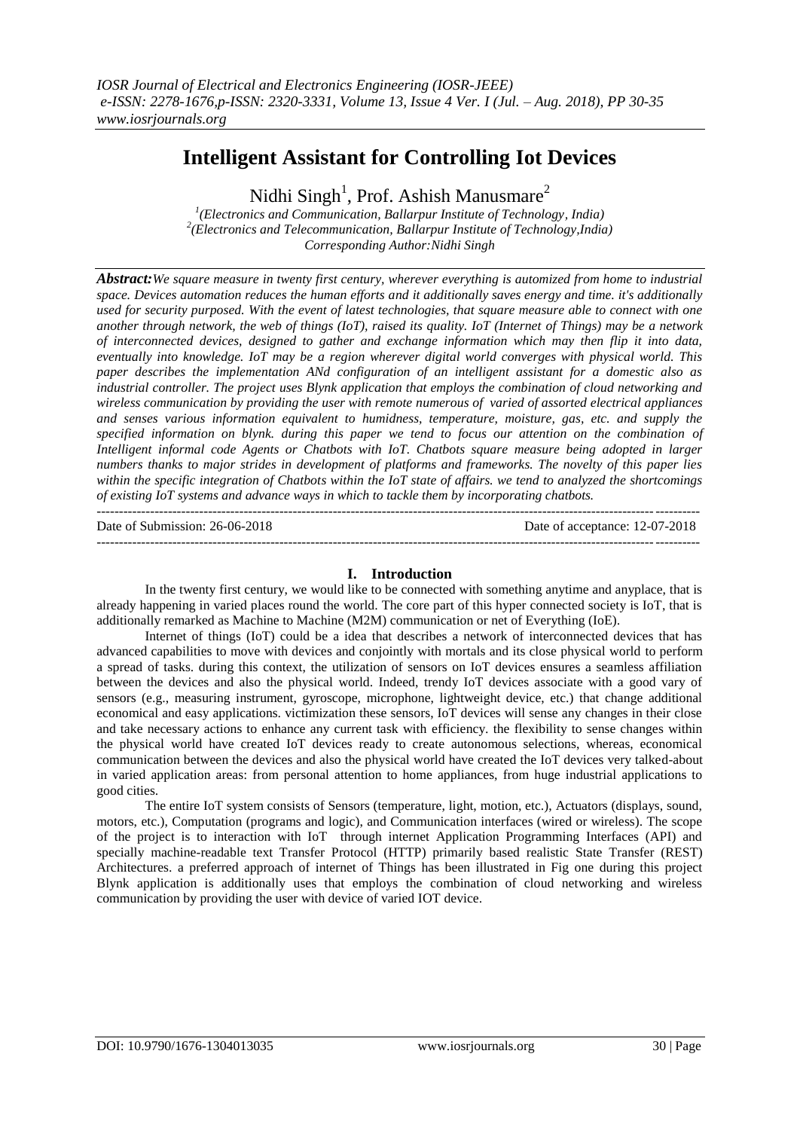# **Intelligent Assistant for Controlling Iot Devices**

Nidhi Singh<sup>1</sup>, Prof. Ashish Manusmare<sup>2</sup>

*1 (Electronics and Communication, Ballarpur Institute of Technology, India) 2 (Electronics and Telecommunication, Ballarpur Institute of Technology,India) Corresponding Author:Nidhi Singh*

*Abstract:We square measure in twenty first century, wherever everything is automized from home to industrial space. Devices automation reduces the human efforts and it additionally saves energy and time. it's additionally used for security purposed. With the event of latest technologies, that square measure able to connect with one another through network, the web of things (IoT), raised its quality. IoT (Internet of Things) may be a network of interconnected devices, designed to gather and exchange information which may then flip it into data, eventually into knowledge. IoT may be a region wherever digital world converges with physical world. This paper describes the implementation ANd configuration of an intelligent assistant for a domestic also as industrial controller. The project uses Blynk application that employs the combination of cloud networking and wireless communication by providing the user with remote numerous of varied of assorted electrical appliances and senses various information equivalent to humidness, temperature, moisture, gas, etc. and supply the specified information on blynk. during this paper we tend to focus our attention on the combination of Intelligent informal code Agents or Chatbots with IoT. Chatbots square measure being adopted in larger numbers thanks to major strides in development of platforms and frameworks. The novelty of this paper lies within the specific integration of Chatbots within the IoT state of affairs. we tend to analyzed the shortcomings of existing IoT systems and advance ways in which to tackle them by incorporating chatbots.* ---------------------------------------------------------------------------------------------------------------------------------------

Date of Submission: 26-06-2018 Date of acceptance: 12-07-2018

**I. Introduction**

---------------------------------------------------------------------------------------------------------------------------------------

In the twenty first century, we would like to be connected with something anytime and anyplace, that is already happening in varied places round the world. The core part of this hyper connected society is IoT, that is additionally remarked as Machine to Machine (M2M) communication or net of Everything (IoE).

Internet of things (IoT) could be a idea that describes a network of interconnected devices that has advanced capabilities to move with devices and conjointly with mortals and its close physical world to perform a spread of tasks. during this context, the utilization of sensors on IoT devices ensures a seamless affiliation between the devices and also the physical world. Indeed, trendy IoT devices associate with a good vary of sensors (e.g., measuring instrument, gyroscope, microphone, lightweight device, etc.) that change additional economical and easy applications. victimization these sensors, IoT devices will sense any changes in their close and take necessary actions to enhance any current task with efficiency. the flexibility to sense changes within the physical world have created IoT devices ready to create autonomous selections, whereas, economical communication between the devices and also the physical world have created the IoT devices very talked-about in varied application areas: from personal attention to home appliances, from huge industrial applications to good cities.

The entire IoT system consists of Sensors (temperature, light, motion, etc.), Actuators (displays, sound, motors, etc.), Computation (programs and logic), and Communication interfaces (wired or wireless). The scope of the project is to interaction with IoT through internet Application Programming Interfaces (API) and specially machine-readable text Transfer Protocol (HTTP) primarily based realistic State Transfer (REST) Architectures. a preferred approach of internet of Things has been illustrated in Fig one during this project Blynk application is additionally uses that employs the combination of cloud networking and wireless communication by providing the user with device of varied IOT device.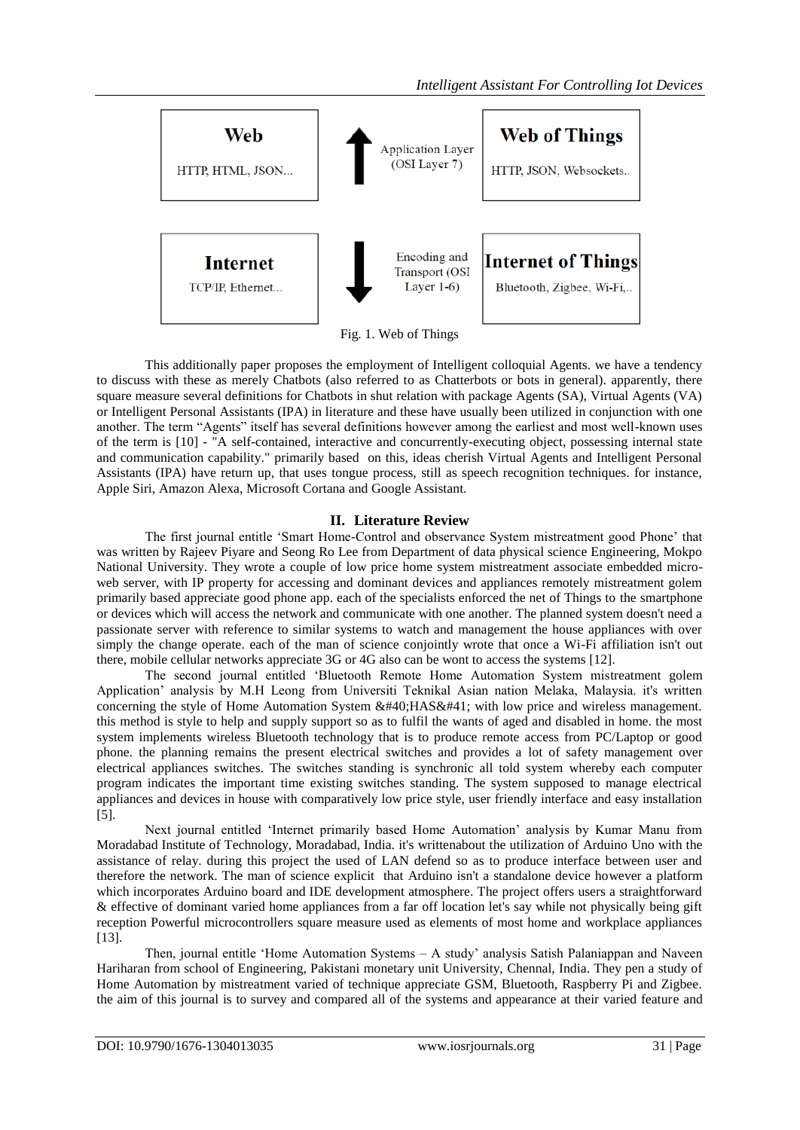

Fig. 1. Web of Things

This additionally paper proposes the employment of Intelligent colloquial Agents. we have a tendency to discuss with these as merely Chatbots (also referred to as Chatterbots or bots in general). apparently, there square measure several definitions for Chatbots in shut relation with package Agents (SA), Virtual Agents (VA) or Intelligent Personal Assistants (IPA) in literature and these have usually been utilized in conjunction with one another. The term "Agents" itself has several definitions however among the earliest and most well-known uses of the term is [10] - "A self-contained, interactive and concurrently-executing object, possessing internal state and communication capability." primarily based on this, ideas cherish Virtual Agents and Intelligent Personal Assistants (IPA) have return up, that uses tongue process, still as speech recognition techniques. for instance, Apple Siri, Amazon Alexa, Microsoft Cortana and Google Assistant.

# **II. Literature Review**

The first journal entitle "Smart Home-Control and observance System mistreatment good Phone" that was written by Rajeev Piyare and Seong Ro Lee from Department of data physical science Engineering, Mokpo National University. They wrote a couple of low price home system mistreatment associate embedded microweb server, with IP property for accessing and dominant devices and appliances remotely mistreatment golem primarily based appreciate good phone app. each of the specialists enforced the net of Things to the smartphone or devices which will access the network and communicate with one another. The planned system doesn't need a passionate server with reference to similar systems to watch and management the house appliances with over simply the change operate. each of the man of science conjointly wrote that once a Wi-Fi affiliation isn't out there, mobile cellular networks appreciate 3G or 4G also can be wont to access the systems [12].

The second journal entitled "Bluetooth Remote Home Automation System mistreatment golem Application" analysis by M.H Leong from Universiti Teknikal Asian nation Melaka, Malaysia. it's written concerning the style of Home Automation System ( HAS) with low price and wireless management. this method is style to help and supply support so as to fulfil the wants of aged and disabled in home. the most system implements wireless Bluetooth technology that is to produce remote access from PC/Laptop or good phone. the planning remains the present electrical switches and provides a lot of safety management over electrical appliances switches. The switches standing is synchronic all told system whereby each computer program indicates the important time existing switches standing. The system supposed to manage electrical appliances and devices in house with comparatively low price style, user friendly interface and easy installation [5].

Next journal entitled "Internet primarily based Home Automation" analysis by Kumar Manu from Moradabad Institute of Technology, Moradabad, India. it's writtenabout the utilization of Arduino Uno with the assistance of relay. during this project the used of LAN defend so as to produce interface between user and therefore the network. The man of science explicit that Arduino isn't a standalone device however a platform which incorporates Arduino board and IDE development atmosphere. The project offers users a straightforward & effective of dominant varied home appliances from a far off location let's say while not physically being gift reception Powerful microcontrollers square measure used as elements of most home and workplace appliances [13].

Then, journal entitle "Home Automation Systems – A study" analysis Satish Palaniappan and Naveen Hariharan from school of Engineering, Pakistani monetary unit University, Chennal, India. They pen a study of Home Automation by mistreatment varied of technique appreciate GSM, Bluetooth, Raspberry Pi and Zigbee. the aim of this journal is to survey and compared all of the systems and appearance at their varied feature and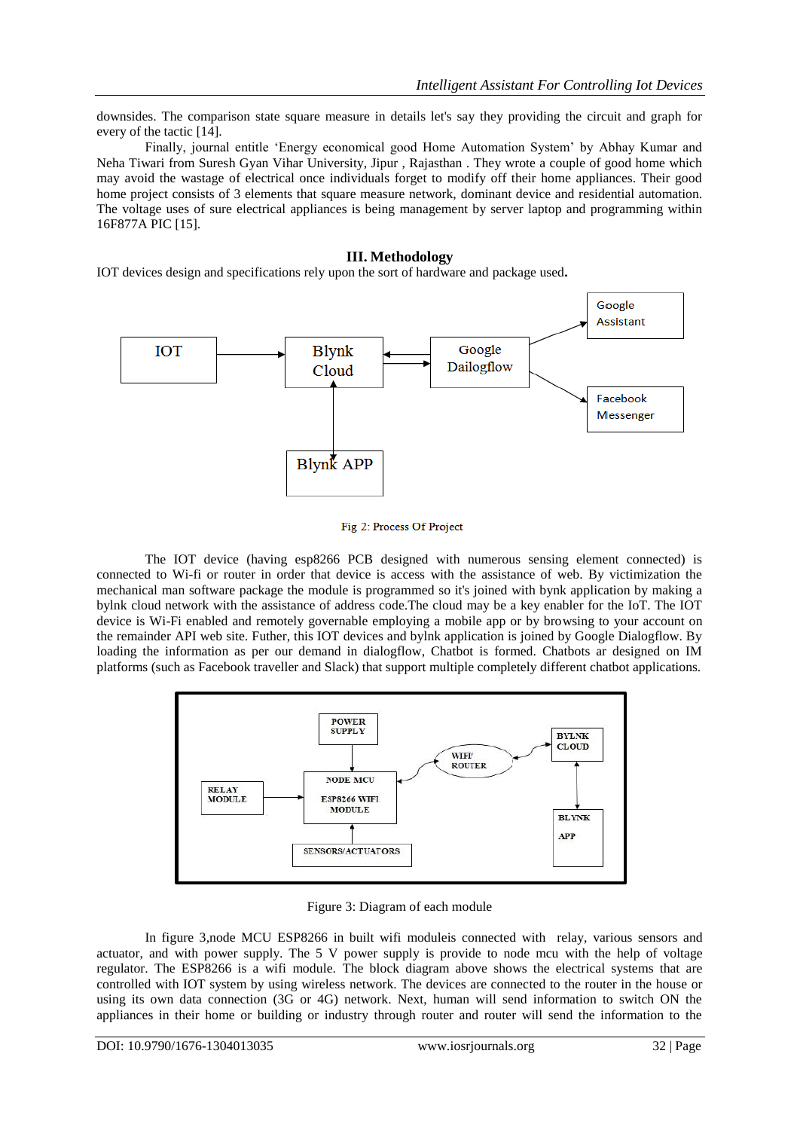downsides. The comparison state square measure in details let's say they providing the circuit and graph for every of the tactic [14].

Finally, journal entitle "Energy economical good Home Automation System" by Abhay Kumar and Neha Tiwari from Suresh Gyan Vihar University, Jipur , Rajasthan . They wrote a couple of good home which may avoid the wastage of electrical once individuals forget to modify off their home appliances. Their good home project consists of 3 elements that square measure network, dominant device and residential automation. The voltage uses of sure electrical appliances is being management by server laptop and programming within 16F877A PIC [15].

# **III. Methodology**

IOT devices design and specifications rely upon the sort of hardware and package used**.**



Fig 2: Process Of Project

The IOT device (having esp8266 PCB designed with numerous sensing element connected) is connected to Wi-fi or router in order that device is access with the assistance of web. By victimization the mechanical man software package the module is programmed so it's joined with bynk application by making a bylnk cloud network with the assistance of address code.The cloud may be a key enabler for the IoT. The IOT device is Wi-Fi enabled and remotely governable employing a mobile app or by browsing to your account on the remainder API web site. Futher, this IOT devices and bylnk application is joined by Google Dialogflow. By loading the information as per our demand in dialogflow, Chatbot is formed. Chatbots ar designed on IM platforms (such as Facebook traveller and Slack) that support multiple completely different chatbot applications.



Figure 3: Diagram of each module

In figure 3,node MCU ESP8266 in built wifi moduleis connected with relay, various sensors and actuator, and with power supply. The 5 V power supply is provide to node mcu with the help of voltage regulator. The ESP8266 is a wifi module. The block diagram above shows the electrical systems that are controlled with IOT system by using wireless network. The devices are connected to the router in the house or using its own data connection (3G or 4G) network. Next, human will send information to switch ON the appliances in their home or building or industry through router and router will send the information to the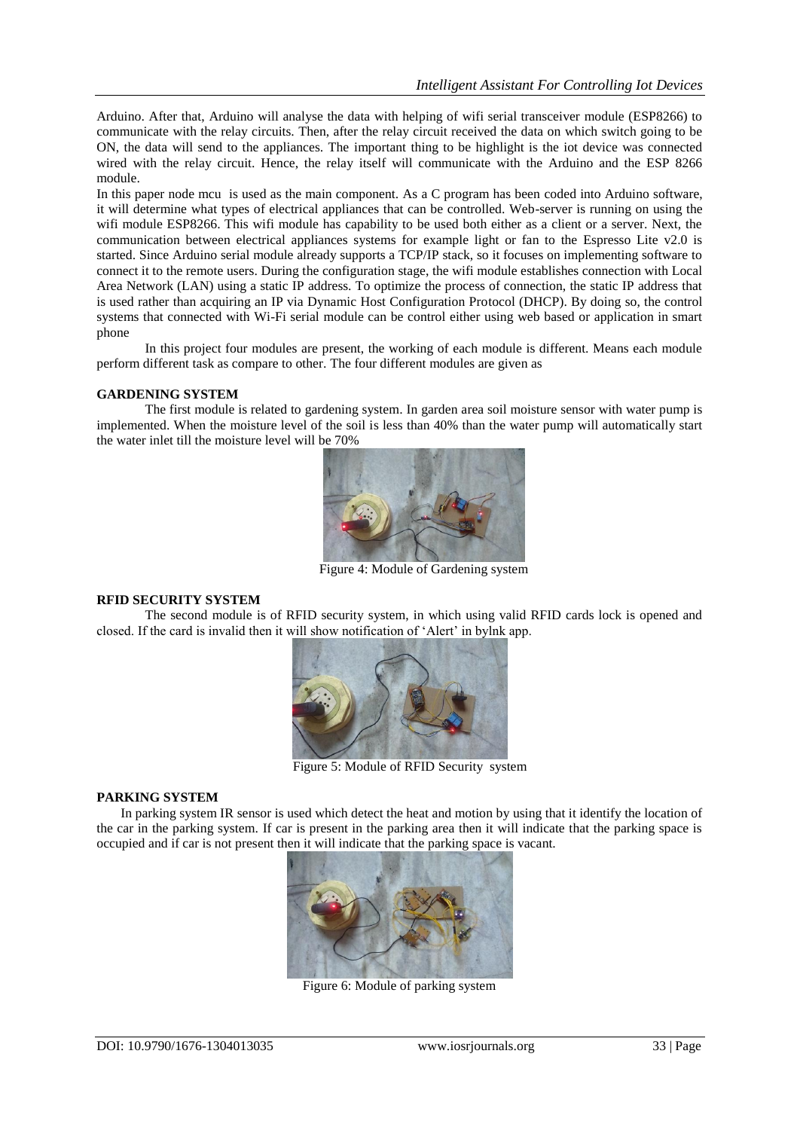Arduino. After that, Arduino will analyse the data with helping of wifi serial transceiver module (ESP8266) to communicate with the relay circuits. Then, after the relay circuit received the data on which switch going to be ON, the data will send to the appliances. The important thing to be highlight is the iot device was connected wired with the relay circuit. Hence, the relay itself will communicate with the Arduino and the ESP 8266 module.

In this paper node mcu is used as the main component. As a C program has been coded into Arduino software, it will determine what types of electrical appliances that can be controlled. Web-server is running on using the wifi module ESP8266. This wifi module has capability to be used both either as a client or a server. Next, the communication between electrical appliances systems for example light or fan to the Espresso Lite v2.0 is started. Since Arduino serial module already supports a TCP/IP stack, so it focuses on implementing software to connect it to the remote users. During the configuration stage, the wifi module establishes connection with Local Area Network (LAN) using a static IP address. To optimize the process of connection, the static IP address that is used rather than acquiring an IP via Dynamic Host Configuration Protocol (DHCP). By doing so, the control systems that connected with Wi-Fi serial module can be control either using web based or application in smart phone

In this project four modules are present, the working of each module is different. Means each module perform different task as compare to other. The four different modules are given as

### **GARDENING SYSTEM**

The first module is related to gardening system. In garden area soil moisture sensor with water pump is implemented. When the moisture level of the soil is less than 40% than the water pump will automatically start the water inlet till the moisture level will be 70%



Figure 4: Module of Gardening system

#### **RFID SECURITY SYSTEM**

The second module is of RFID security system, in which using valid RFID cards lock is opened and closed. If the card is invalid then it will show notification of "Alert" in bylnk app.



Figure 5: Module of RFID Security system

#### **PARKING SYSTEM**

In parking system IR sensor is used which detect the heat and motion by using that it identify the location of the car in the parking system. If car is present in the parking area then it will indicate that the parking space is occupied and if car is not present then it will indicate that the parking space is vacant.



Figure 6: Module of parking system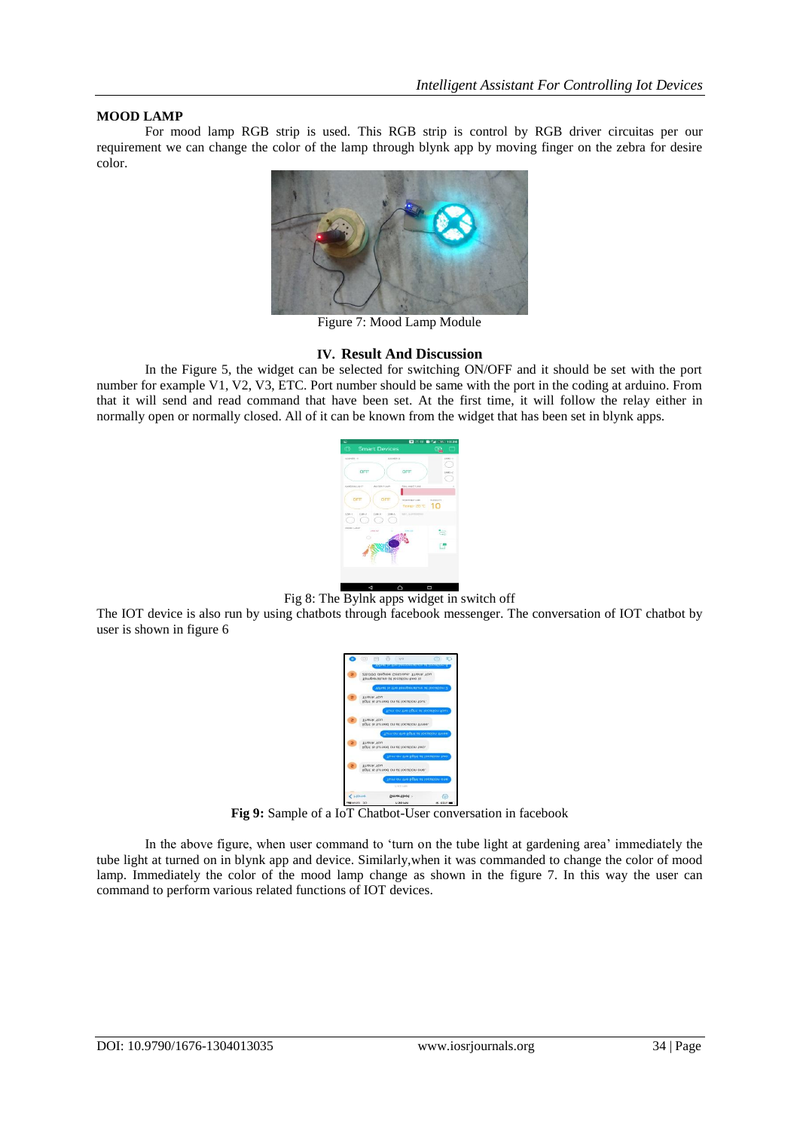### **MOOD LAMP**

For mood lamp RGB strip is used. This RGB strip is control by RGB driver circuitas per our requirement we can change the color of the lamp through blynk app by moving finger on the zebra for desire color.



Figure 7: Mood Lamp Module

# **IV. Result And Discussion**

In the Figure 5, the widget can be selected for switching ON/OFF and it should be set with the port number for example V1, V2, V3, ETC. Port number should be same with the port in the coding at arduino. From that it will send and read command that have been set. At the first time, it will follow the relay either in normally open or normally closed. All of it can be known from the widget that has been set in blynk apps.



Fig 8: The Bylnk apps widget in switch off

The IOT device is also run by using chatbots through facebook messenger. The conversation of IOT chatbot by user is shown in figure 6



**Fig 9:** Sample of a IoT Chatbot-User conversation in facebook

In the above figure, when user command to 'turn on the tube light at gardening area' immediately the tube light at turned on in blynk app and device. Similarly,when it was commanded to change the color of mood lamp. Immediately the color of the mood lamp change as shown in the figure 7. In this way the user can command to perform various related functions of IOT devices.